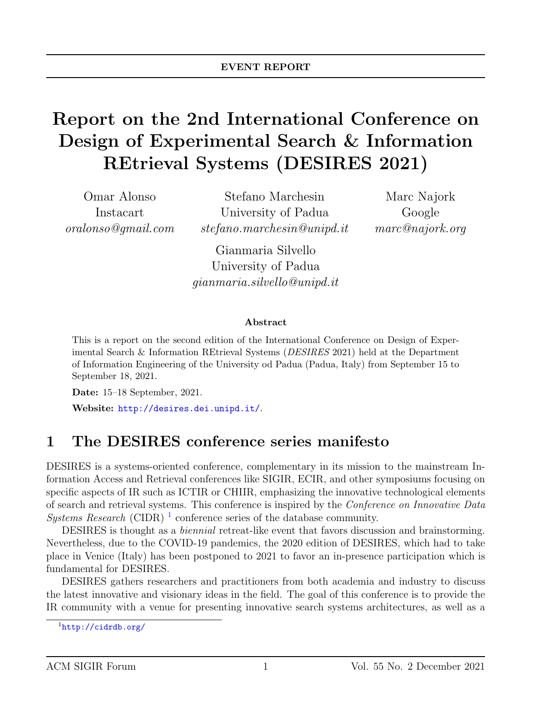# Report on the 2nd International Conference on Design of Experimental Search & Information REtrieval Systems (DESIRES 2021)

Omar Alonso Instacart oralonso@gmail.com

Stefano Marchesin University of Padua stefano.marchesin@unipd.it

Marc Najork Google marc@najork.org

Gianmaria Silvello University of Padua gianmaria.silvello@unipd.it

#### Abstract

This is a report on the second edition of the International Conference on Design of Experimental Search & Information REtrieval Systems (DESIRES 2021) held at the Department of Information Engineering of the University od Padua (Padua, Italy) from September 15 to September 18, 2021.

Date: 15–18 September, 2021. Website: <http://desires.dei.unipd.it/>.

### 1 The DESIRES conference series manifesto

DESIRES is a systems-oriented conference, complementary in its mission to the mainstream Information Access and Retrieval conferences like SIGIR, ECIR, and other symposiums focusing on specific aspects of IR such as ICTIR or CHIIR, emphasizing the innovative technological elements of search and retrieval systems. This conference is inspired by the Conference on Innovative Data Systems Research (CIDR)<sup>[1](#page-0-0)</sup> conference series of the database community.

DESIRES is thought as a biennial retreat-like event that favors discussion and brainstorming. Nevertheless, due to the COVID-19 pandemics, the 2020 edition of DESIRES, which had to take place in Venice (Italy) has been postponed to 2021 to favor an in-presence participation which is fundamental for DESIRES.

DESIRES gathers researchers and practitioners from both academia and industry to discuss the latest innovative and visionary ideas in the field. The goal of this conference is to provide the IR community with a venue for presenting innovative search systems architectures, as well as a

<span id="page-0-0"></span> $1$ <http://cidrdb.org/>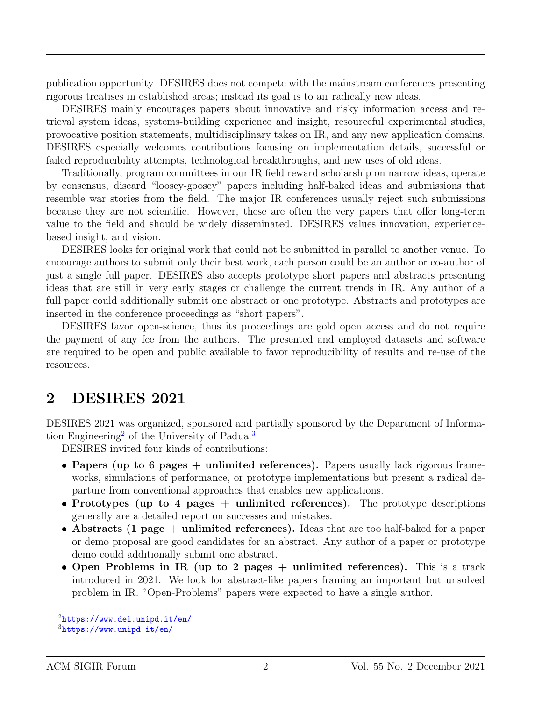publication opportunity. DESIRES does not compete with the mainstream conferences presenting rigorous treatises in established areas; instead its goal is to air radically new ideas.

DESIRES mainly encourages papers about innovative and risky information access and retrieval system ideas, systems-building experience and insight, resourceful experimental studies, provocative position statements, multidisciplinary takes on IR, and any new application domains. DESIRES especially welcomes contributions focusing on implementation details, successful or failed reproducibility attempts, technological breakthroughs, and new uses of old ideas.

Traditionally, program committees in our IR field reward scholarship on narrow ideas, operate by consensus, discard "loosey-goosey" papers including half-baked ideas and submissions that resemble war stories from the field. The major IR conferences usually reject such submissions because they are not scientific. However, these are often the very papers that offer long-term value to the field and should be widely disseminated. DESIRES values innovation, experiencebased insight, and vision.

DESIRES looks for original work that could not be submitted in parallel to another venue. To encourage authors to submit only their best work, each person could be an author or co-author of just a single full paper. DESIRES also accepts prototype short papers and abstracts presenting ideas that are still in very early stages or challenge the current trends in IR. Any author of a full paper could additionally submit one abstract or one prototype. Abstracts and prototypes are inserted in the conference proceedings as "short papers".

DESIRES favor open-science, thus its proceedings are gold open access and do not require the payment of any fee from the authors. The presented and employed datasets and software are required to be open and public available to favor reproducibility of results and re-use of the resources.

### 2 DESIRES 2021

DESIRES 2021 was organized, sponsored and partially sponsored by the Department of Informa-tion Engineering<sup>[2](#page-1-0)</sup> of the University of Padua.<sup>[3](#page-1-1)</sup>

DESIRES invited four kinds of contributions:

- Papers (up to 6 pages  $+$  unlimited references). Papers usually lack rigorous frameworks, simulations of performance, or prototype implementations but present a radical departure from conventional approaches that enables new applications.
- Prototypes (up to 4 pages + unlimited references). The prototype descriptions generally are a detailed report on successes and mistakes.
- $\bullet$  Abstracts (1 page + unlimited references). Ideas that are too half-baked for a paper or demo proposal are good candidates for an abstract. Any author of a paper or prototype demo could additionally submit one abstract.
- Open Problems in IR (up to 2 pages  $+$  unlimited references). This is a track introduced in 2021. We look for abstract-like papers framing an important but unsolved problem in IR. "Open-Problems" papers were expected to have a single author.

<span id="page-1-0"></span><sup>2</sup><https://www.dei.unipd.it/en/>

<span id="page-1-1"></span> $3$ <https://www.unipd.it/en/>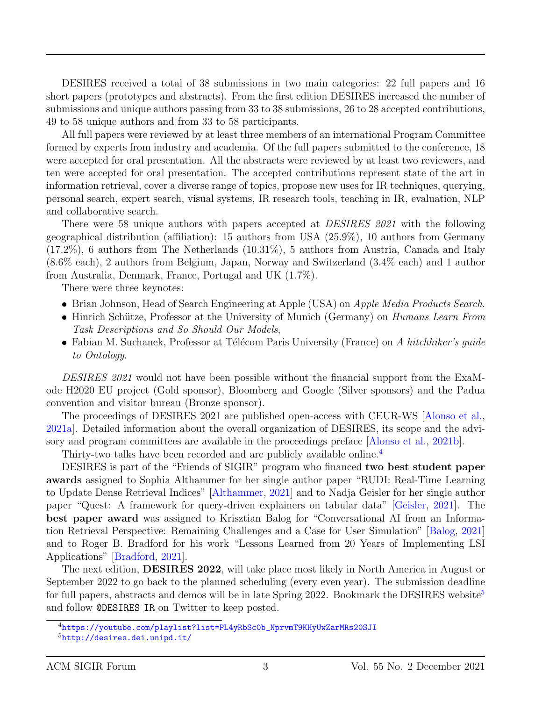DESIRES received a total of 38 submissions in two main categories: 22 full papers and 16 short papers (prototypes and abstracts). From the first edition DESIRES increased the number of submissions and unique authors passing from 33 to 38 submissions, 26 to 28 accepted contributions, 49 to 58 unique authors and from 33 to 58 participants.

All full papers were reviewed by at least three members of an international Program Committee formed by experts from industry and academia. Of the full papers submitted to the conference, 18 were accepted for oral presentation. All the abstracts were reviewed by at least two reviewers, and ten were accepted for oral presentation. The accepted contributions represent state of the art in information retrieval, cover a diverse range of topics, propose new uses for IR techniques, querying, personal search, expert search, visual systems, IR research tools, teaching in IR, evaluation, NLP and collaborative search.

There were 58 unique authors with papers accepted at *DESIRES* 2021 with the following geographical distribution (affiliation): 15 authors from USA (25.9%), 10 authors from Germany (17.2%), 6 authors from The Netherlands (10.31%), 5 authors from Austria, Canada and Italy (8.6% each), 2 authors from Belgium, Japan, Norway and Switzerland (3.4% each) and 1 author from Australia, Denmark, France, Portugal and UK (1.7%).

There were three keynotes:

- Brian Johnson, Head of Search Engineering at Apple (USA) on Apple Media Products Search.
- Hinrich Schütze, Professor at the University of Munich (Germany) on *Humans Learn From* Task Descriptions and So Should Our Models,
- Fabian M. Suchanek, Professor at Télécom Paris University (France) on A hitchhiker's guide to Ontology.

DESIRES 2021 would not have been possible without the financial support from the ExaMode H2020 EU project (Gold sponsor), Bloomberg and Google (Silver sponsors) and the Padua convention and visitor bureau (Bronze sponsor).

The proceedings of DESIRES 2021 are published open-access with CEUR-WS [\[Alonso et al.,](#page-10-0) [2021a\]](#page-10-0). Detailed information about the overall organization of DESIRES, its scope and the advisory and program committees are available in the proceedings preface [\[Alonso et al.,](#page-10-1) [2021b\]](#page-10-1).

Thirty-two talks have been recorded and are publicly available online.[4](#page-2-0)

DESIRES is part of the "Friends of SIGIR" program who financed two best student paper awards assigned to Sophia Althammer for her single author paper "RUDI: Real-Time Learning to Update Dense Retrieval Indices" [\[Althammer,](#page-10-2) [2021\]](#page-10-2) and to Nadja Geisler for her single author paper "Quest: A framework for query-driven explainers on tabular data" [\[Geisler,](#page-11-0) [2021\]](#page-11-0). The best paper award was assigned to Krisztian Balog for "Conversational AI from an Information Retrieval Perspective: Remaining Challenges and a Case for User Simulation" [\[Balog,](#page-10-3) [2021\]](#page-10-3) and to Roger B. Bradford for his work "Lessons Learned from 20 Years of Implementing LSI Applications" [\[Bradford,](#page-10-4) [2021\]](#page-10-4).

The next edition, DESIRES 2022, will take place most likely in North America in August or September 2022 to go back to the planned scheduling (every even year). The submission deadline for full papers, abstracts and demos will be in late Spring 2022. Bookmark the DESIRES website<sup>[5](#page-2-1)</sup> and follow @DESIRES IR on Twitter to keep posted.

<span id="page-2-1"></span><span id="page-2-0"></span><sup>4</sup>[https://youtube.com/playlist?list=PL4yRbSc0b\\_NprvmT9KHyUwZarMRs20SJI](https://youtube.com/playlist?list=PL4yRbSc0b_NprvmT9KHyUwZarMRs20SJI) <sup>5</sup><http://desires.dei.unipd.it/>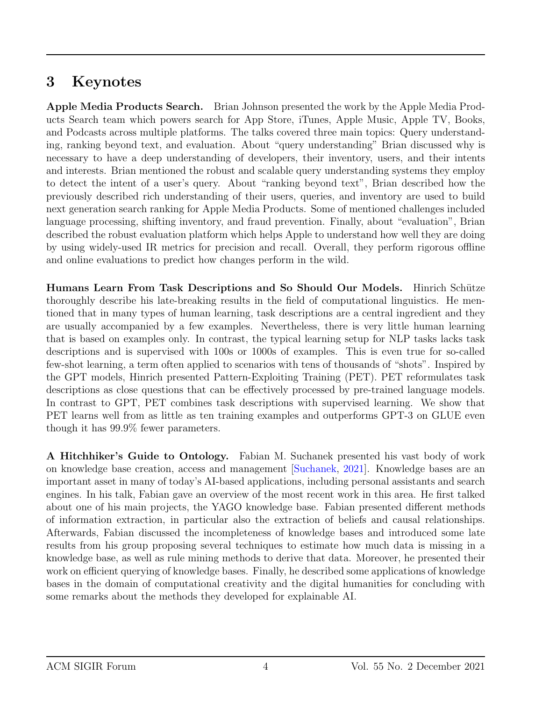### 3 Keynotes

Apple Media Products Search. Brian Johnson presented the work by the Apple Media Products Search team which powers search for App Store, iTunes, Apple Music, Apple TV, Books, and Podcasts across multiple platforms. The talks covered three main topics: Query understanding, ranking beyond text, and evaluation. About "query understanding" Brian discussed why is necessary to have a deep understanding of developers, their inventory, users, and their intents and interests. Brian mentioned the robust and scalable query understanding systems they employ to detect the intent of a user's query. About "ranking beyond text", Brian described how the previously described rich understanding of their users, queries, and inventory are used to build next generation search ranking for Apple Media Products. Some of mentioned challenges included language processing, shifting inventory, and fraud prevention. Finally, about "evaluation", Brian described the robust evaluation platform which helps Apple to understand how well they are doing by using widely-used IR metrics for precision and recall. Overall, they perform rigorous offline and online evaluations to predict how changes perform in the wild.

Humans Learn From Task Descriptions and So Should Our Models. Hinrich Schütze thoroughly describe his late-breaking results in the field of computational linguistics. He mentioned that in many types of human learning, task descriptions are a central ingredient and they are usually accompanied by a few examples. Nevertheless, there is very little human learning that is based on examples only. In contrast, the typical learning setup for NLP tasks lacks task descriptions and is supervised with 100s or 1000s of examples. This is even true for so-called few-shot learning, a term often applied to scenarios with tens of thousands of "shots". Inspired by the GPT models, Hinrich presented Pattern-Exploiting Training (PET). PET reformulates task descriptions as close questions that can be effectively processed by pre-trained language models. In contrast to GPT, PET combines task descriptions with supervised learning. We show that PET learns well from as little as ten training examples and outperforms GPT-3 on GLUE even though it has 99.9% fewer parameters.

A Hitchhiker's Guide to Ontology. Fabian M. Suchanek presented his vast body of work on knowledge base creation, access and management [\[Suchanek,](#page-12-0) [2021\]](#page-12-0). Knowledge bases are an important asset in many of today's AI-based applications, including personal assistants and search engines. In his talk, Fabian gave an overview of the most recent work in this area. He first talked about one of his main projects, the YAGO knowledge base. Fabian presented different methods of information extraction, in particular also the extraction of beliefs and causal relationships. Afterwards, Fabian discussed the incompleteness of knowledge bases and introduced some late results from his group proposing several techniques to estimate how much data is missing in a knowledge base, as well as rule mining methods to derive that data. Moreover, he presented their work on efficient querying of knowledge bases. Finally, he described some applications of knowledge bases in the domain of computational creativity and the digital humanities for concluding with some remarks about the methods they developed for explainable AI.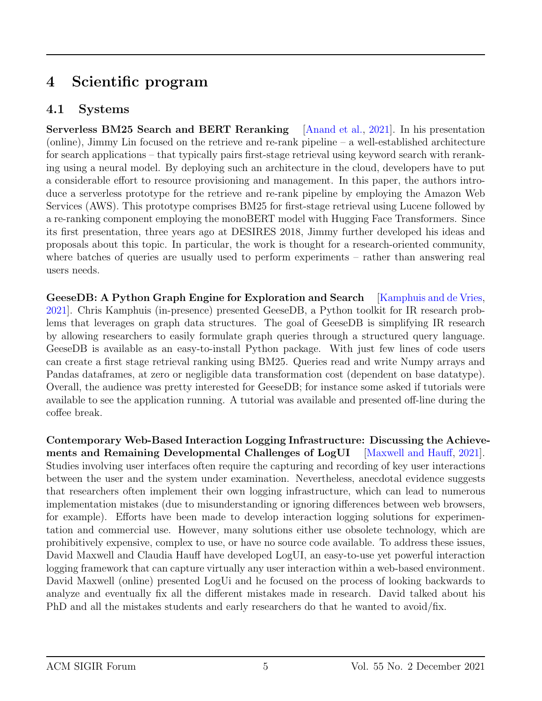## 4 Scientific program

#### 4.1 Systems

Serverless BM25 Search and BERT Reranking [\[Anand et al.,](#page-10-5) [2021\]](#page-10-5). In his presentation (online), Jimmy Lin focused on the retrieve and re-rank pipeline – a well-established architecture for search applications – that typically pairs first-stage retrieval using keyword search with reranking using a neural model. By deploying such an architecture in the cloud, developers have to put a considerable effort to resource provisioning and management. In this paper, the authors introduce a serverless prototype for the retrieve and re-rank pipeline by employing the Amazon Web Services (AWS). This prototype comprises BM25 for first-stage retrieval using Lucene followed by a re-ranking component employing the monoBERT model with Hugging Face Transformers. Since its first presentation, three years ago at DESIRES 2018, Jimmy further developed his ideas and proposals about this topic. In particular, the work is thought for a research-oriented community, where batches of queries are usually used to perform experiments – rather than answering real users needs.

GeeseDB: A Python Graph Engine for Exploration and Search [\[Kamphuis and de Vries,](#page-11-1) [2021\]](#page-11-1). Chris Kamphuis (in-presence) presented GeeseDB, a Python toolkit for IR research problems that leverages on graph data structures. The goal of GeeseDB is simplifying IR research by allowing researchers to easily formulate graph queries through a structured query language. GeeseDB is available as an easy-to-install Python package. With just few lines of code users can create a first stage retrieval ranking using BM25. Queries read and write Numpy arrays and Pandas dataframes, at zero or negligible data transformation cost (dependent on base datatype). Overall, the audience was pretty interested for GeeseDB; for instance some asked if tutorials were available to see the application running. A tutorial was available and presented off-line during the coffee break.

Contemporary Web-Based Interaction Logging Infrastructure: Discussing the Achievements and Remaining Developmental Challenges of LogUI [\[Maxwell and Hauff,](#page-11-2) [2021\]](#page-11-2). Studies involving user interfaces often require the capturing and recording of key user interactions between the user and the system under examination. Nevertheless, anecdotal evidence suggests that researchers often implement their own logging infrastructure, which can lead to numerous implementation mistakes (due to misunderstanding or ignoring differences between web browsers, for example). Efforts have been made to develop interaction logging solutions for experimentation and commercial use. However, many solutions either use obsolete technology, which are prohibitively expensive, complex to use, or have no source code available. To address these issues, David Maxwell and Claudia Hauff have developed LogUI, an easy-to-use yet powerful interaction logging framework that can capture virtually any user interaction within a web-based environment. David Maxwell (online) presented LogUi and he focused on the process of looking backwards to analyze and eventually fix all the different mistakes made in research. David talked about his PhD and all the mistakes students and early researchers do that he wanted to avoid/fix.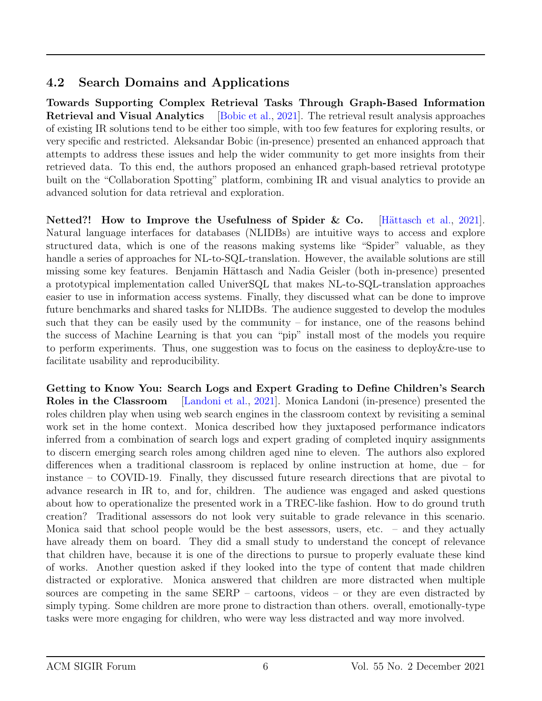#### 4.2 Search Domains and Applications

Towards Supporting Complex Retrieval Tasks Through Graph-Based Information Retrieval and Visual Analytics [\[Bobic et al.,](#page-10-6) [2021\]](#page-10-6). The retrieval result analysis approaches of existing IR solutions tend to be either too simple, with too few features for exploring results, or very specific and restricted. Aleksandar Bobic (in-presence) presented an enhanced approach that attempts to address these issues and help the wider community to get more insights from their retrieved data. To this end, the authors proposed an enhanced graph-based retrieval prototype built on the "Collaboration Spotting" platform, combining IR and visual analytics to provide an advanced solution for data retrieval and exploration.

Netted?! How to Improve the Usefulness of Spider & Co. [Hättasch et al., [2021\]](#page-11-3). Natural language interfaces for databases (NLIDBs) are intuitive ways to access and explore structured data, which is one of the reasons making systems like "Spider" valuable, as they handle a series of approaches for NL-to-SQL-translation. However, the available solutions are still missing some key features. Benjamin Hättasch and Nadia Geisler (both in-presence) presented a prototypical implementation called UniverSQL that makes NL-to-SQL-translation approaches easier to use in information access systems. Finally, they discussed what can be done to improve future benchmarks and shared tasks for NLIDBs. The audience suggested to develop the modules such that they can be easily used by the community – for instance, one of the reasons behind the success of Machine Learning is that you can "pip" install most of the models you require to perform experiments. Thus, one suggestion was to focus on the easiness to deploy&re-use to facilitate usability and reproducibility.

Getting to Know You: Search Logs and Expert Grading to Define Children's Search Roles in the Classroom [\[Landoni et al.,](#page-11-4) [2021\]](#page-11-4). Monica Landoni (in-presence) presented the roles children play when using web search engines in the classroom context by revisiting a seminal work set in the home context. Monica described how they juxtaposed performance indicators inferred from a combination of search logs and expert grading of completed inquiry assignments to discern emerging search roles among children aged nine to eleven. The authors also explored differences when a traditional classroom is replaced by online instruction at home, due – for instance – to COVID-19. Finally, they discussed future research directions that are pivotal to advance research in IR to, and for, children. The audience was engaged and asked questions about how to operationalize the presented work in a TREC-like fashion. How to do ground truth creation? Traditional assessors do not look very suitable to grade relevance in this scenario. Monica said that school people would be the best assessors, users, etc. – and they actually have already them on board. They did a small study to understand the concept of relevance that children have, because it is one of the directions to pursue to properly evaluate these kind of works. Another question asked if they looked into the type of content that made children distracted or explorative. Monica answered that children are more distracted when multiple sources are competing in the same SERP – cartoons, videos – or they are even distracted by simply typing. Some children are more prone to distraction than others. overall, emotionally-type tasks were more engaging for children, who were way less distracted and way more involved.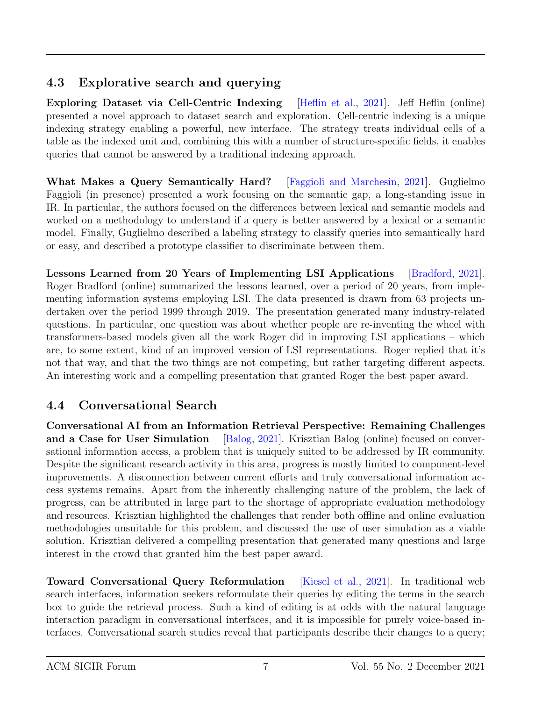#### 4.3 Explorative search and querying

Exploring Dataset via Cell-Centric Indexing [\[Heflin et al.,](#page-11-5) [2021\]](#page-11-5). Jeff Heflin (online) presented a novel approach to dataset search and exploration. Cell-centric indexing is a unique indexing strategy enabling a powerful, new interface. The strategy treats individual cells of a table as the indexed unit and, combining this with a number of structure-specific fields, it enables queries that cannot be answered by a traditional indexing approach.

What Makes a Query Semantically Hard? [\[Faggioli and Marchesin,](#page-11-6) [2021\]](#page-11-6). Guglielmo Faggioli (in presence) presented a work focusing on the semantic gap, a long-standing issue in IR. In particular, the authors focused on the differences between lexical and semantic models and worked on a methodology to understand if a query is better answered by a lexical or a semantic model. Finally, Guglielmo described a labeling strategy to classify queries into semantically hard or easy, and described a prototype classifier to discriminate between them.

Lessons Learned from 20 Years of Implementing LSI Applications [\[Bradford,](#page-10-4) [2021\]](#page-10-4). Roger Bradford (online) summarized the lessons learned, over a period of 20 years, from implementing information systems employing LSI. The data presented is drawn from 63 projects undertaken over the period 1999 through 2019. The presentation generated many industry-related questions. In particular, one question was about whether people are re-inventing the wheel with transformers-based models given all the work Roger did in improving LSI applications – which are, to some extent, kind of an improved version of LSI representations. Roger replied that it's not that way, and that the two things are not competing, but rather targeting different aspects. An interesting work and a compelling presentation that granted Roger the best paper award.

### 4.4 Conversational Search

Conversational AI from an Information Retrieval Perspective: Remaining Challenges and a Case for User Simulation [\[Balog,](#page-10-3) [2021\]](#page-10-3). Krisztian Balog (online) focused on conversational information access, a problem that is uniquely suited to be addressed by IR community. Despite the significant research activity in this area, progress is mostly limited to component-level improvements. A disconnection between current efforts and truly conversational information access systems remains. Apart from the inherently challenging nature of the problem, the lack of progress, can be attributed in large part to the shortage of appropriate evaluation methodology and resources. Krisztian highlighted the challenges that render both offline and online evaluation methodologies unsuitable for this problem, and discussed the use of user simulation as a viable solution. Krisztian delivered a compelling presentation that generated many questions and large interest in the crowd that granted him the best paper award.

Toward Conversational Query Reformulation [\[Kiesel et al.,](#page-11-7) [2021\]](#page-11-7). In traditional web search interfaces, information seekers reformulate their queries by editing the terms in the search box to guide the retrieval process. Such a kind of editing is at odds with the natural language interaction paradigm in conversational interfaces, and it is impossible for purely voice-based interfaces. Conversational search studies reveal that participants describe their changes to a query;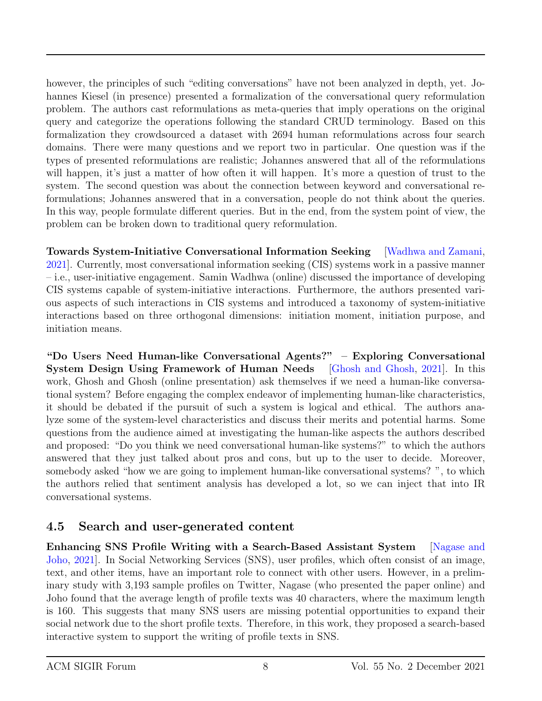however, the principles of such "editing conversations" have not been analyzed in depth, yet. Johannes Kiesel (in presence) presented a formalization of the conversational query reformulation problem. The authors cast reformulations as meta-queries that imply operations on the original query and categorize the operations following the standard CRUD terminology. Based on this formalization they crowdsourced a dataset with 2694 human reformulations across four search domains. There were many questions and we report two in particular. One question was if the types of presented reformulations are realistic; Johannes answered that all of the reformulations will happen, it's just a matter of how often it will happen. It's more a question of trust to the system. The second question was about the connection between keyword and conversational reformulations; Johannes answered that in a conversation, people do not think about the queries. In this way, people formulate different queries. But in the end, from the system point of view, the problem can be broken down to traditional query reformulation.

Towards System-Initiative Conversational Information Seeking [\[Wadhwa and Zamani,](#page-12-1) [2021\]](#page-12-1). Currently, most conversational information seeking (CIS) systems work in a passive manner – i.e., user-initiative engagement. Samin Wadhwa (online) discussed the importance of developing CIS systems capable of system-initiative interactions. Furthermore, the authors presented various aspects of such interactions in CIS systems and introduced a taxonomy of system-initiative interactions based on three orthogonal dimensions: initiation moment, initiation purpose, and initiation means.

"Do Users Need Human-like Conversational Agents?" – Exploring Conversational System Design Using Framework of Human Needs [\[Ghosh and Ghosh,](#page-11-8) [2021\]](#page-11-8). In this work, Ghosh and Ghosh (online presentation) ask themselves if we need a human-like conversational system? Before engaging the complex endeavor of implementing human-like characteristics, it should be debated if the pursuit of such a system is logical and ethical. The authors analyze some of the system-level characteristics and discuss their merits and potential harms. Some questions from the audience aimed at investigating the human-like aspects the authors described and proposed: "Do you think we need conversational human-like systems?" to which the authors answered that they just talked about pros and cons, but up to the user to decide. Moreover, somebody asked "how we are going to implement human-like conversational systems? ", to which the authors relied that sentiment analysis has developed a lot, so we can inject that into IR conversational systems.

#### 4.5 Search and user-generated content

Enhancing SNS Profile Writing with a Search-Based Assistant System [\[Nagase and](#page-12-2) [Joho,](#page-12-2) [2021\]](#page-12-2). In Social Networking Services (SNS), user profiles, which often consist of an image, text, and other items, have an important role to connect with other users. However, in a preliminary study with 3,193 sample profiles on Twitter, Nagase (who presented the paper online) and Joho found that the average length of profile texts was 40 characters, where the maximum length is 160. This suggests that many SNS users are missing potential opportunities to expand their social network due to the short profile texts. Therefore, in this work, they proposed a search-based interactive system to support the writing of profile texts in SNS.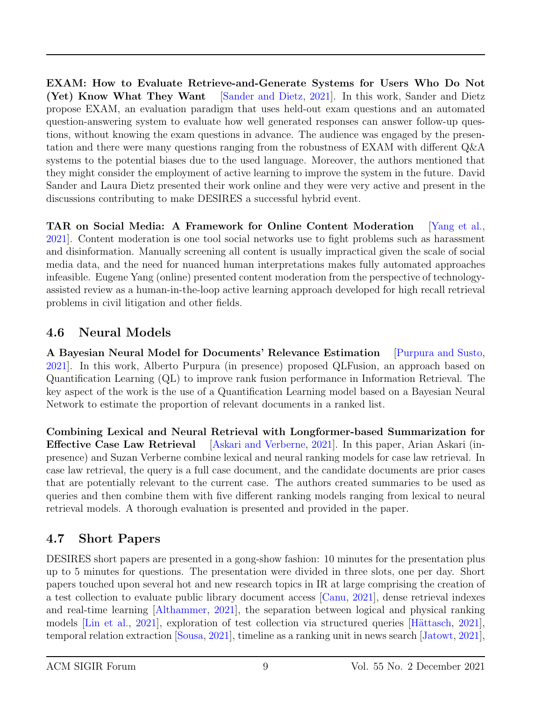EXAM: How to Evaluate Retrieve-and-Generate Systems for Users Who Do Not (Yet) Know What They Want [\[Sander and Dietz,](#page-12-3) [2021\]](#page-12-3). In this work, Sander and Dietz propose EXAM, an evaluation paradigm that uses held-out exam questions and an automated question-answering system to evaluate how well generated responses can answer follow-up questions, without knowing the exam questions in advance. The audience was engaged by the presentation and there were many questions ranging from the robustness of EXAM with different Q&A systems to the potential biases due to the used language. Moreover, the authors mentioned that they might consider the employment of active learning to improve the system in the future. David Sander and Laura Dietz presented their work online and they were very active and present in the discussions contributing to make DESIRES a successful hybrid event.

TAR on Social Media: A Framework for Online Content Moderation [\[Yang et al.,](#page-12-4) [2021\]](#page-12-4). Content moderation is one tool social networks use to fight problems such as harassment and disinformation. Manually screening all content is usually impractical given the scale of social media data, and the need for nuanced human interpretations makes fully automated approaches infeasible. Eugene Yang (online) presented content moderation from the perspective of technologyassisted review as a human-in-the-loop active learning approach developed for high recall retrieval problems in civil litigation and other fields.

#### 4.6 Neural Models

A Bayesian Neural Model for Documents' Relevance Estimation [\[Purpura and Susto,](#page-12-5) [2021\]](#page-12-5). In this work, Alberto Purpura (in presence) proposed QLFusion, an approach based on Quantification Learning (QL) to improve rank fusion performance in Information Retrieval. The key aspect of the work is the use of a Quantification Learning model based on a Bayesian Neural Network to estimate the proportion of relevant documents in a ranked list.

Combining Lexical and Neural Retrieval with Longformer-based Summarization for Effective Case Law Retrieval [\[Askari and Verberne,](#page-10-7) [2021\]](#page-10-7). In this paper, Arian Askari (inpresence) and Suzan Verberne combine lexical and neural ranking models for case law retrieval. In case law retrieval, the query is a full case document, and the candidate documents are prior cases that are potentially relevant to the current case. The authors created summaries to be used as queries and then combine them with five different ranking models ranging from lexical to neural retrieval models. A thorough evaluation is presented and provided in the paper.

### 4.7 Short Papers

DESIRES short papers are presented in a gong-show fashion: 10 minutes for the presentation plus up to 5 minutes for questions. The presentation were divided in three slots, one per day. Short papers touched upon several hot and new research topics in IR at large comprising the creation of a test collection to evaluate public library document access [\[Canu,](#page-10-8) [2021\]](#page-10-8), dense retrieval indexes and real-time learning [\[Althammer,](#page-10-2) [2021\]](#page-10-2), the separation between logical and physical ranking models [\[Lin et al.,](#page-11-9) [2021\]](#page-11-10), exploration of test collection via structured queries [Hättasch, 2021], temporal relation extraction [\[Sousa,](#page-12-6) [2021\]](#page-12-6), timeline as a ranking unit in news search [\[Jatowt,](#page-11-11) [2021\]](#page-11-11),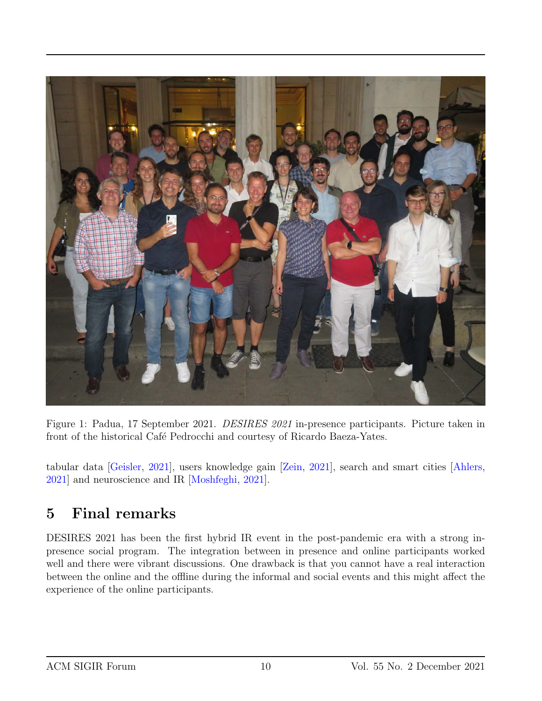

Figure 1: Padua, 17 September 2021. DESIRES 2021 in-presence participants. Picture taken in front of the historical Café Pedrocchi and courtesy of Ricardo Baeza-Yates.

tabular data [\[Geisler,](#page-11-0) [2021\]](#page-11-0), users knowledge gain [\[Zein,](#page-12-7) [2021\]](#page-12-7), search and smart cities [\[Ahlers,](#page-10-9) [2021\]](#page-10-9) and neuroscience and IR [\[Moshfeghi,](#page-11-12) [2021\]](#page-11-12).

### 5 Final remarks

DESIRES 2021 has been the first hybrid IR event in the post-pandemic era with a strong inpresence social program. The integration between in presence and online participants worked well and there were vibrant discussions. One drawback is that you cannot have a real interaction between the online and the offline during the informal and social events and this might affect the experience of the online participants.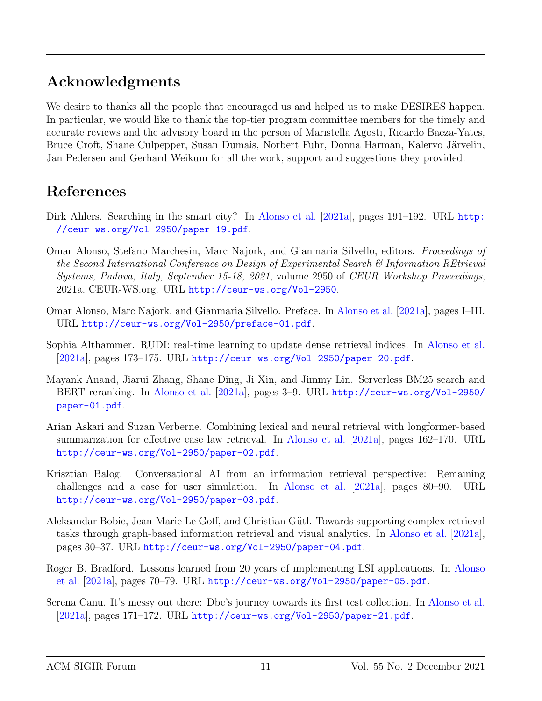### Acknowledgments

We desire to thanks all the people that encouraged us and helped us to make DESIRES happen. In particular, we would like to thank the top-tier program committee members for the timely and accurate reviews and the advisory board in the person of Maristella Agosti, Ricardo Baeza-Yates, Bruce Croft, Shane Culpepper, Susan Dumais, Norbert Fuhr, Donna Harman, Kalervo Järvelin, Jan Pedersen and Gerhard Weikum for all the work, support and suggestions they provided.

### References

- <span id="page-10-9"></span>Dirk Ahlers. Searching in the smart city? In [Alonso et al.](#page-10-0) [\[2021a\]](#page-10-0), pages 191–192. URL [http:](http://ceur-ws.org/Vol-2950/paper-19.pdf) [//ceur-ws.org/Vol-2950/paper-19.pdf](http://ceur-ws.org/Vol-2950/paper-19.pdf).
- <span id="page-10-0"></span>Omar Alonso, Stefano Marchesin, Marc Najork, and Gianmaria Silvello, editors. Proceedings of the Second International Conference on Design of Experimental Search & Information REtrieval Systems, Padova, Italy, September 15-18, 2021, volume 2950 of CEUR Workshop Proceedings, 2021a. CEUR-WS.org. URL <http://ceur-ws.org/Vol-2950>.
- <span id="page-10-1"></span>Omar Alonso, Marc Najork, and Gianmaria Silvello. Preface. In [Alonso et al.](#page-10-0) [\[2021a\]](#page-10-0), pages I–III. URL <http://ceur-ws.org/Vol-2950/preface-01.pdf>.
- <span id="page-10-2"></span>Sophia Althammer. RUDI: real-time learning to update dense retrieval indices. In [Alonso et al.](#page-10-0)  $[2021a]$ , pages 173–175. URL <http://ceur-ws.org/Vol-2950/paper-20.pdf>.
- <span id="page-10-5"></span>Mayank Anand, Jiarui Zhang, Shane Ding, Ji Xin, and Jimmy Lin. Serverless BM25 search and BERT reranking. In [Alonso et al.](#page-10-0) [\[2021a\]](#page-10-0), pages 3–9. URL [http://ceur-ws.org/Vol-2950/](http://ceur-ws.org/Vol-2950/paper-01.pdf) [paper-01.pdf](http://ceur-ws.org/Vol-2950/paper-01.pdf).
- <span id="page-10-7"></span>Arian Askari and Suzan Verberne. Combining lexical and neural retrieval with longformer-based summarization for effective case law retrieval. In [Alonso et al.](#page-10-0) [\[2021a\]](#page-10-0), pages 162–170. URL <http://ceur-ws.org/Vol-2950/paper-02.pdf>.
- <span id="page-10-3"></span>Krisztian Balog. Conversational AI from an information retrieval perspective: Remaining challenges and a case for user simulation. In [Alonso et al.](#page-10-0) [\[2021a\]](#page-10-0), pages 80–90. URL <http://ceur-ws.org/Vol-2950/paper-03.pdf>.
- <span id="page-10-6"></span>Aleksandar Bobic, Jean-Marie Le Goff, and Christian Gütl. Towards supporting complex retrieval tasks through graph-based information retrieval and visual analytics. In [Alonso et al.](#page-10-0) [\[2021a\]](#page-10-0), pages 30–37. URL <http://ceur-ws.org/Vol-2950/paper-04.pdf>.
- <span id="page-10-4"></span>Roger B. Bradford. Lessons learned from 20 years of implementing LSI applications. In [Alonso](#page-10-0) [et al.](#page-10-0) [\[2021a\]](#page-10-0), pages 70–79. URL <http://ceur-ws.org/Vol-2950/paper-05.pdf>.
- <span id="page-10-8"></span>Serena Canu. It's messy out there: Dbc's journey towards its first test collection. In [Alonso et al.](#page-10-0)  $[2021a]$ , pages 171–172. URL <http://ceur-ws.org/Vol-2950/paper-21.pdf>.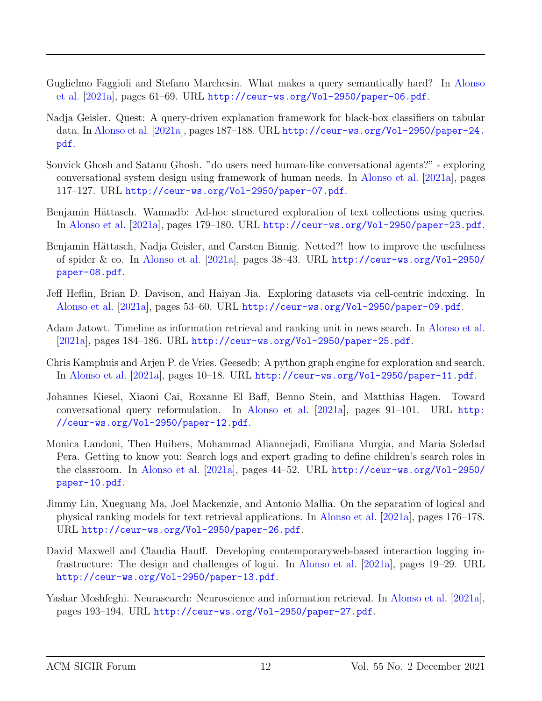- <span id="page-11-6"></span>Guglielmo Faggioli and Stefano Marchesin. What makes a query semantically hard? In [Alonso](#page-10-0) [et al.](#page-10-0) [\[2021a\]](#page-10-0), pages 61–69. URL <http://ceur-ws.org/Vol-2950/paper-06.pdf>.
- <span id="page-11-0"></span>Nadja Geisler. Quest: A query-driven explanation framework for black-box classifiers on tabular data. In [Alonso et al.](#page-10-0) [\[2021a\]](#page-10-0), pages 187–188. URL [http://ceur-ws.org/Vol-2950/paper-24.](http://ceur-ws.org/Vol-2950/paper-24.pdf) [pdf](http://ceur-ws.org/Vol-2950/paper-24.pdf).
- <span id="page-11-8"></span>Souvick Ghosh and Satanu Ghosh. "do users need human-like conversational agents?" - exploring conversational system design using framework of human needs. In [Alonso et al.](#page-10-0) [\[2021a\]](#page-10-0), pages 117–127. URL <http://ceur-ws.org/Vol-2950/paper-07.pdf>.
- <span id="page-11-10"></span>Benjamin Hättasch. Wannadb: Ad-hoc structured exploration of text collections using queries. In [Alonso et al.](#page-10-0) [\[2021a\]](#page-10-0), pages 179–180. URL <http://ceur-ws.org/Vol-2950/paper-23.pdf>.
- <span id="page-11-3"></span>Benjamin Hättasch, Nadja Geisler, and Carsten Binnig. Netted?! how to improve the usefulness of spider & co. In [Alonso et al.](#page-10-0) [\[2021a\]](#page-10-0), pages 38–43. URL [http://ceur-ws.org/Vol-2950/](http://ceur-ws.org/Vol-2950/paper-08.pdf) [paper-08.pdf](http://ceur-ws.org/Vol-2950/paper-08.pdf).
- <span id="page-11-5"></span>Jeff Heflin, Brian D. Davison, and Haiyan Jia. Exploring datasets via cell-centric indexing. In [Alonso et al.](#page-10-0) [\[2021a\]](#page-10-0), pages 53–60. URL <http://ceur-ws.org/Vol-2950/paper-09.pdf>.
- <span id="page-11-11"></span>Adam Jatowt. Timeline as information retrieval and ranking unit in news search. In [Alonso et al.](#page-10-0) [\[2021a\]](#page-10-0), pages 184–186. URL <http://ceur-ws.org/Vol-2950/paper-25.pdf>.
- <span id="page-11-1"></span>Chris Kamphuis and Arjen P. de Vries. Geesedb: A python graph engine for exploration and search. In [Alonso et al.](#page-10-0) [\[2021a\]](#page-10-0), pages 10–18. URL <http://ceur-ws.org/Vol-2950/paper-11.pdf>.
- <span id="page-11-7"></span>Johannes Kiesel, Xiaoni Cai, Roxanne El Baff, Benno Stein, and Matthias Hagen. Toward conversational query reformulation. In [Alonso et al.](#page-10-0) [\[2021a\]](#page-10-0), pages 91–101. URL [http:](http://ceur-ws.org/Vol-2950/paper-12.pdf) [//ceur-ws.org/Vol-2950/paper-12.pdf](http://ceur-ws.org/Vol-2950/paper-12.pdf).
- <span id="page-11-4"></span>Monica Landoni, Theo Huibers, Mohammad Aliannejadi, Emiliana Murgia, and Maria Soledad Pera. Getting to know you: Search logs and expert grading to define children's search roles in the classroom. In [Alonso et al.](#page-10-0) [\[2021a\]](#page-10-0), pages 44–52. URL [http://ceur-ws.org/Vol-2950/](http://ceur-ws.org/Vol-2950/paper-10.pdf) [paper-10.pdf](http://ceur-ws.org/Vol-2950/paper-10.pdf).
- <span id="page-11-9"></span>Jimmy Lin, Xueguang Ma, Joel Mackenzie, and Antonio Mallia. On the separation of logical and physical ranking models for text retrieval applications. In [Alonso et al.](#page-10-0) [\[2021a\]](#page-10-0), pages 176–178. URL <http://ceur-ws.org/Vol-2950/paper-26.pdf>.
- <span id="page-11-2"></span>David Maxwell and Claudia Hauff. Developing contemporaryweb-based interaction logging infrastructure: The design and challenges of logui. In [Alonso et al.](#page-10-0) [\[2021a\]](#page-10-0), pages 19–29. URL <http://ceur-ws.org/Vol-2950/paper-13.pdf>.
- <span id="page-11-12"></span>Yashar Moshfeghi. Neurasearch: Neuroscience and information retrieval. In [Alonso et al.](#page-10-0) [\[2021a\]](#page-10-0), pages 193–194. URL <http://ceur-ws.org/Vol-2950/paper-27.pdf>.